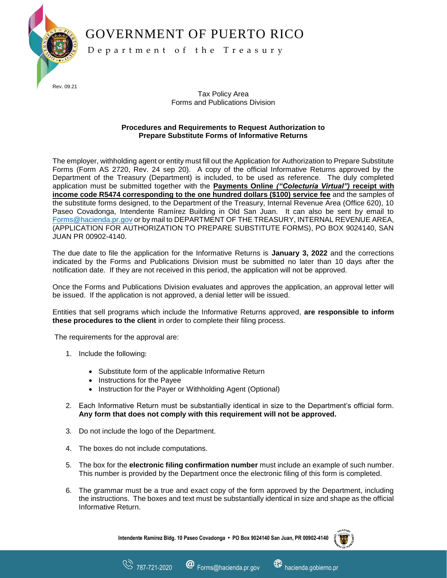GOVERNMENT OF PUERTO RICO

J Rev. 09.21

D e p a r t m e n t o f t h e T r e a s u r y

Tax Policy Area Forms and Publications Division

## **Procedures and Requirements to Request Authorization to Prepare Substitute Forms of Informative Returns**

The employer, withholding agent or entity must fill out the Application for Authorization to Prepare Substitute Forms (Form AS 2720, Rev. 24 sep 20). A copy of the official Informative Returns approved by the Department of the Treasury (Department) is included, to be used as reference. The duly completed application must be submitted together with the **Payments Online** *("Colecturía Virtual")* **receipt with income code R5474 corresponding to the one hundred dollars (\$100) service fee** and the samples of the substitute forms designed, to the Department of the Treasury, Internal Revenue Area (Office 620), 10 Paseo Covadonga, Intendente Ramírez Building in Old San Juan. It can also be sent by email to [Forms@hacienda.pr.gov](mailto:Forms@hacienda.pr.gov) or by mail to DEPARTMENT OF THE TREASURY, INTERNAL REVENUE AREA, (APPLICATION FOR AUTHORIZATION TO PREPARE SUBSTITUTE FORMS), PO BOX 9024140, SAN JUAN PR 00902-4140.

The due date to file the application for the Informative Returns is **January 3, 2022** and the corrections indicated by the Forms and Publications Division must be submitted no later than 10 days after the notification date. If they are not received in this period, the application will not be approved.

Once the Forms and Publications Division evaluates and approves the application, an approval letter will be issued. If the application is not approved, a denial letter will be issued.

Entities that sell programs which include the Informative Returns approved, **are responsible to inform these procedures to the client** in order to complete their filing process.

The requirements for the approval are:

- 1. Include the following:
	- Substitute form of the applicable Informative Return
	- Instructions for the Payee
	- Instruction for the Payer or Withholding Agent (Optional)
- 2. Each Informative Return must be substantially identical in size to the Department's official form. **Any form that does not comply with this requirement will not be approved.**
- 3. Do not include the logo of the Department.
- 4. The boxes do not include computations.
- 5. The box for the **electronic filing confirmation number** must include an example of such number. This number is provided by the Department once the electronic filing of this form is completed.
- 6. The grammar must be a true and exact copy of the form approved by the Department, including the instructions. The boxes and text must be substantially identical in size and shape as the official Informative Return.

**Intendente Ramírez Bldg. 10 Paseo Covadonga • PO Box 9024140 San Juan, PR 00902-4140**